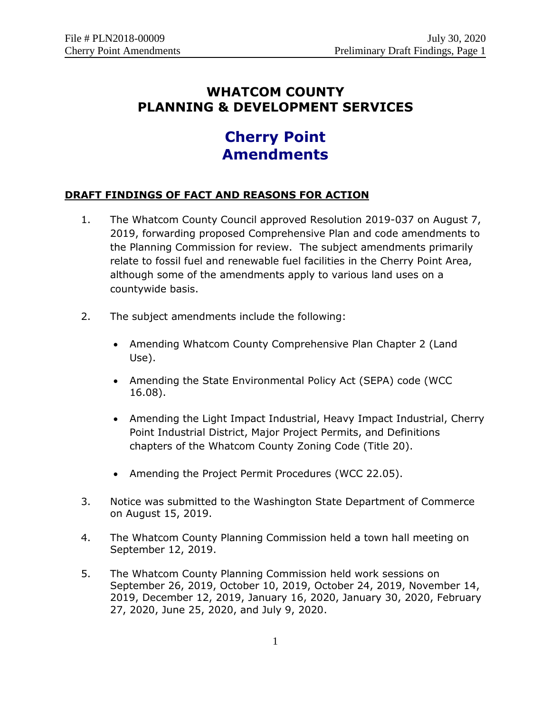# **WHATCOM COUNTY PLANNING & DEVELOPMENT SERVICES**

# **Cherry Point Amendments**

# **DRAFT FINDINGS OF FACT AND REASONS FOR ACTION**

- 1. The Whatcom County Council approved Resolution 2019-037 on August 7, 2019, forwarding proposed Comprehensive Plan and code amendments to the Planning Commission for review. The subject amendments primarily relate to fossil fuel and renewable fuel facilities in the Cherry Point Area, although some of the amendments apply to various land uses on a countywide basis.
- 2. The subject amendments include the following:
	- Amending Whatcom County Comprehensive Plan Chapter 2 (Land Use).
	- Amending the State Environmental Policy Act (SEPA) code (WCC 16.08).
	- Amending the Light Impact Industrial, Heavy Impact Industrial, Cherry Point Industrial District, Major Project Permits, and Definitions chapters of the Whatcom County Zoning Code (Title 20).
	- Amending the Project Permit Procedures (WCC 22.05).
- 3. Notice was submitted to the Washington State Department of Commerce on August 15, 2019.
- 4. The Whatcom County Planning Commission held a town hall meeting on September 12, 2019.
- 5. The Whatcom County Planning Commission held work sessions on September 26, 2019, October 10, 2019, October 24, 2019, November 14, 2019, December 12, 2019, January 16, 2020, January 30, 2020, February 27, 2020, June 25, 2020, and July 9, 2020.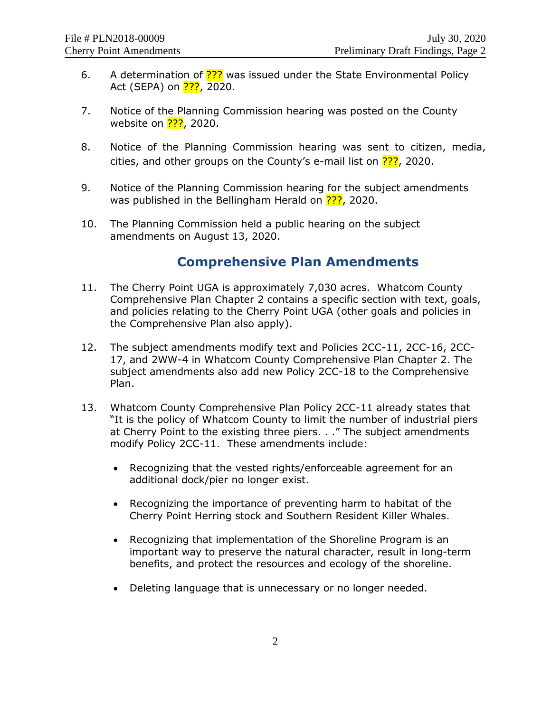- 6. A determination of **???** was issued under the State Environmental Policy Act (SEPA) on <mark>???</mark>, 2020.
- 7. Notice of the Planning Commission hearing was posted on the County website on **???**, 2020.
- 8. Notice of the Planning Commission hearing was sent to citizen, media, cities, and other groups on the County's e-mail list on  $\frac{22}{2}$ , 2020.
- 9. Notice of the Planning Commission hearing for the subject amendments was published in the Bellingham Herald on **???**, 2020.
- 10. The Planning Commission held a public hearing on the subject amendments on August 13, 2020.

# **Comprehensive Plan Amendments**

- 11. The Cherry Point UGA is approximately 7,030 acres. Whatcom County Comprehensive Plan Chapter 2 contains a specific section with text, goals, and policies relating to the Cherry Point UGA (other goals and policies in the Comprehensive Plan also apply).
- 12. The subject amendments modify text and Policies 2CC-11, 2CC-16, 2CC-17, and 2WW-4 in Whatcom County Comprehensive Plan Chapter 2. The subject amendments also add new Policy 2CC-18 to the Comprehensive Plan.
- 13. Whatcom County Comprehensive Plan Policy 2CC-11 already states that "It is the policy of Whatcom County to limit the number of industrial piers at Cherry Point to the existing three piers. . ." The subject amendments modify Policy 2CC-11. These amendments include:
	- Recognizing that the vested rights/enforceable agreement for an additional dock/pier no longer exist.
	- Recognizing the importance of preventing harm to habitat of the Cherry Point Herring stock and Southern Resident Killer Whales.
	- Recognizing that implementation of the Shoreline Program is an important way to preserve the natural character, result in long-term benefits, and protect the resources and ecology of the shoreline.
	- Deleting language that is unnecessary or no longer needed.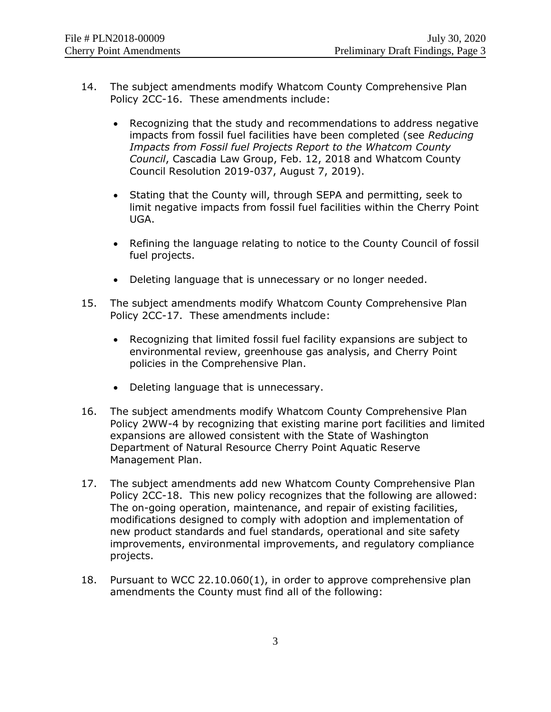- 14. The subject amendments modify Whatcom County Comprehensive Plan Policy 2CC-16. These amendments include:
	- Recognizing that the study and recommendations to address negative impacts from fossil fuel facilities have been completed (see *Reducing Impacts from Fossil fuel Projects Report to the Whatcom County Council*, Cascadia Law Group, Feb. 12, 2018 and Whatcom County Council Resolution 2019-037, August 7, 2019).
	- Stating that the County will, through SEPA and permitting, seek to limit negative impacts from fossil fuel facilities within the Cherry Point UGA.
	- Refining the language relating to notice to the County Council of fossil fuel projects.
	- Deleting language that is unnecessary or no longer needed.
- 15. The subject amendments modify Whatcom County Comprehensive Plan Policy 2CC-17. These amendments include:
	- Recognizing that limited fossil fuel facility expansions are subject to environmental review, greenhouse gas analysis, and Cherry Point policies in the Comprehensive Plan.
	- Deleting language that is unnecessary.
- 16. The subject amendments modify Whatcom County Comprehensive Plan Policy 2WW-4 by recognizing that existing marine port facilities and limited expansions are allowed consistent with the State of Washington Department of Natural Resource Cherry Point Aquatic Reserve Management Plan.
- 17. The subject amendments add new Whatcom County Comprehensive Plan Policy 2CC-18. This new policy recognizes that the following are allowed: The on-going operation, maintenance, and repair of existing facilities, modifications designed to comply with adoption and implementation of new product standards and fuel standards, operational and site safety improvements, environmental improvements, and regulatory compliance projects.
- 18. Pursuant to WCC 22.10.060(1), in order to approve comprehensive plan amendments the County must find all of the following: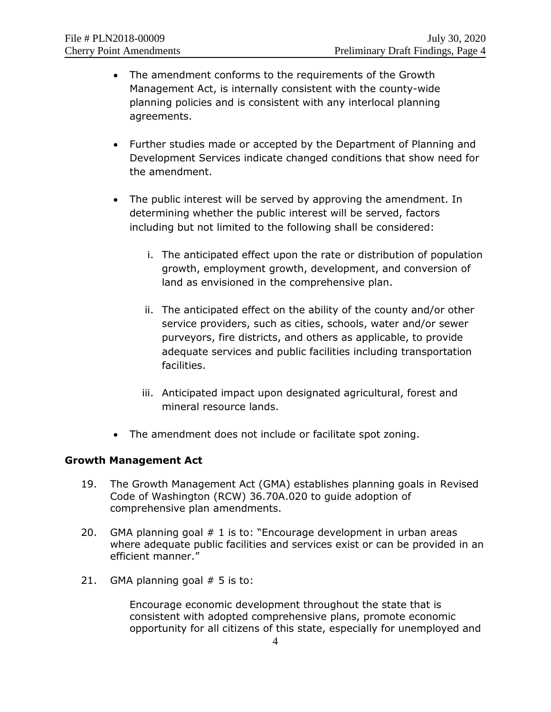- The amendment conforms to the requirements of the Growth Management Act, is internally consistent with the county-wide planning policies and is consistent with any interlocal planning agreements.
- Further studies made or accepted by the Department of Planning and Development Services indicate changed conditions that show need for the amendment.
- The public interest will be served by approving the amendment. In determining whether the public interest will be served, factors including but not limited to the following shall be considered:
	- i. The anticipated effect upon the rate or distribution of population growth, employment growth, development, and conversion of land as envisioned in the comprehensive plan.
	- ii. The anticipated effect on the ability of the county and/or other service providers, such as cities, schools, water and/or sewer purveyors, fire districts, and others as applicable, to provide adequate services and public facilities including transportation facilities.
	- iii. Anticipated impact upon designated agricultural, forest and mineral resource lands.
- The amendment does not include or facilitate spot zoning.

# **Growth Management Act**

- 19. The Growth Management Act (GMA) establishes planning goals in Revised Code of Washington (RCW) 36.70A.020 to guide adoption of comprehensive plan amendments.
- 20. GMA planning goal # 1 is to: "Encourage development in urban areas where adequate public facilities and services exist or can be provided in an efficient manner."
- 21. GMA planning goal  $# 5$  is to:

Encourage economic development throughout the state that is consistent with adopted comprehensive plans, promote economic opportunity for all citizens of this state, especially for unemployed and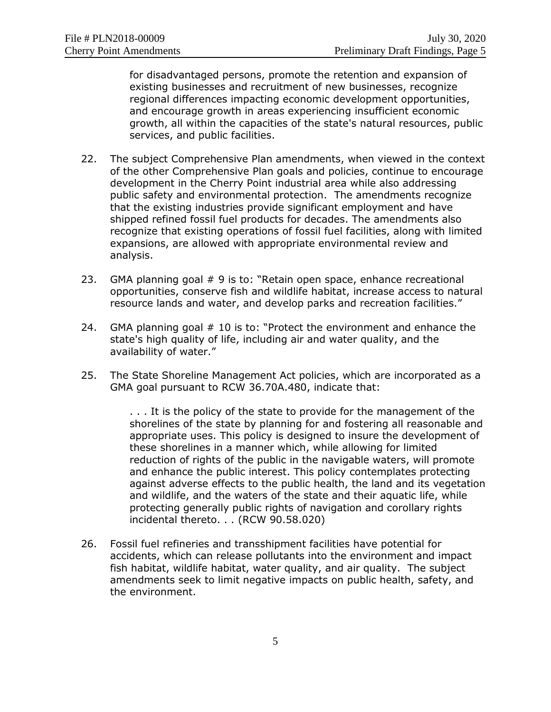for disadvantaged persons, promote the retention and expansion of existing businesses and recruitment of new businesses, recognize regional differences impacting economic development opportunities, and encourage growth in areas experiencing insufficient economic growth, all within the capacities of the state's natural resources, public services, and public facilities.

- 22. The subject Comprehensive Plan amendments, when viewed in the context of the other Comprehensive Plan goals and policies, continue to encourage development in the Cherry Point industrial area while also addressing public safety and environmental protection. The amendments recognize that the existing industries provide significant employment and have shipped refined fossil fuel products for decades. The amendments also recognize that existing operations of fossil fuel facilities, along with limited expansions, are allowed with appropriate environmental review and analysis.
- 23. GMA planning goal # 9 is to: "Retain open space, enhance recreational opportunities, conserve fish and wildlife habitat, increase access to natural resource lands and water, and develop parks and recreation facilities."
- 24. GMA planning goal # 10 is to: "Protect the environment and enhance the state's high quality of life, including air and water quality, and the availability of water."
- 25. The State Shoreline Management Act policies, which are incorporated as a GMA goal pursuant to RCW 36.70A.480, indicate that:

. . . It is the policy of the state to provide for the management of the shorelines of the state by planning for and fostering all reasonable and appropriate uses. This policy is designed to insure the development of these shorelines in a manner which, while allowing for limited reduction of rights of the public in the navigable waters, will promote and enhance the public interest. This policy contemplates protecting against adverse effects to the public health, the land and its vegetation and wildlife, and the waters of the state and their aquatic life, while protecting generally public rights of navigation and corollary rights incidental thereto. . . (RCW 90.58.020)

26. Fossil fuel refineries and transshipment facilities have potential for accidents, which can release pollutants into the environment and impact fish habitat, wildlife habitat, water quality, and air quality. The subject amendments seek to limit negative impacts on public health, safety, and the environment.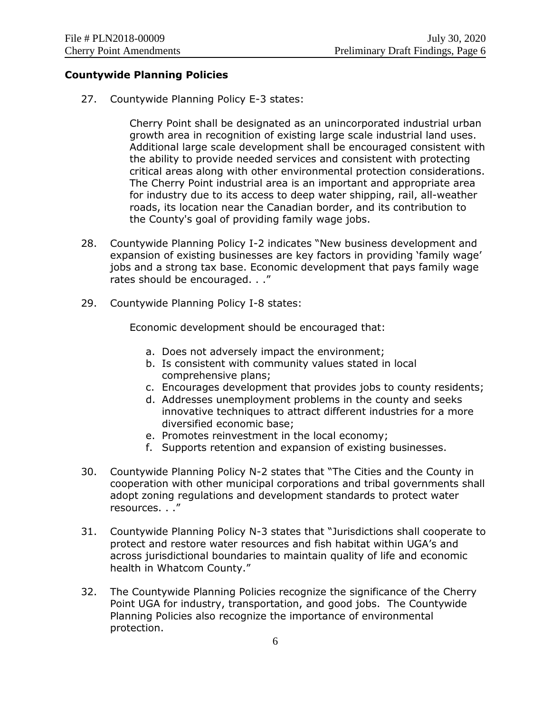#### **Countywide Planning Policies**

27. Countywide Planning Policy E-3 states:

Cherry Point shall be designated as an unincorporated industrial urban growth area in recognition of existing large scale industrial land uses. Additional large scale development shall be encouraged consistent with the ability to provide needed services and consistent with protecting critical areas along with other environmental protection considerations. The Cherry Point industrial area is an important and appropriate area for industry due to its access to deep water shipping, rail, all-weather roads, its location near the Canadian border, and its contribution to the County's goal of providing family wage jobs.

- 28. Countywide Planning Policy I-2 indicates "New business development and expansion of existing businesses are key factors in providing 'family wage' jobs and a strong tax base. Economic development that pays family wage rates should be encouraged. . ."
- 29. Countywide Planning Policy I-8 states:

Economic development should be encouraged that:

- a. Does not adversely impact the environment;
- b. Is consistent with community values stated in local comprehensive plans;
- c. Encourages development that provides jobs to county residents;
- d. Addresses unemployment problems in the county and seeks innovative techniques to attract different industries for a more diversified economic base;
- e. Promotes reinvestment in the local economy;
- f. Supports retention and expansion of existing businesses.
- 30. Countywide Planning Policy N-2 states that "The Cities and the County in cooperation with other municipal corporations and tribal governments shall adopt zoning regulations and development standards to protect water resources. . ."
- 31. Countywide Planning Policy N-3 states that "Jurisdictions shall cooperate to protect and restore water resources and fish habitat within UGA's and across jurisdictional boundaries to maintain quality of life and economic health in Whatcom County."
- 32. The Countywide Planning Policies recognize the significance of the Cherry Point UGA for industry, transportation, and good jobs. The Countywide Planning Policies also recognize the importance of environmental protection.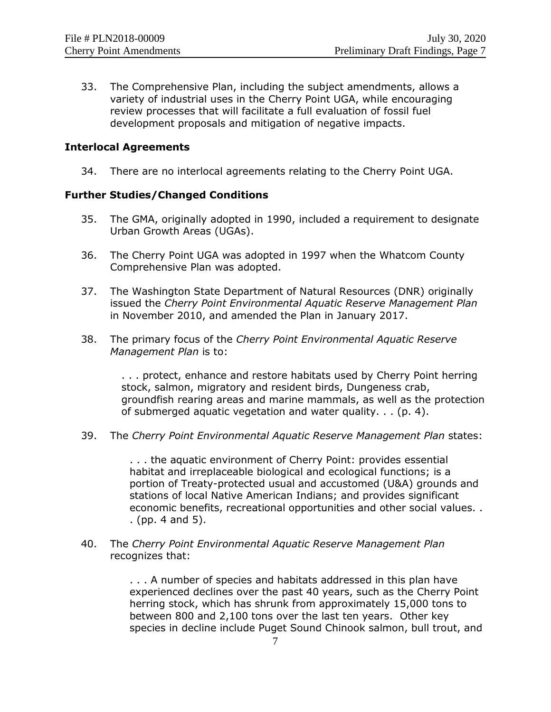33. The Comprehensive Plan, including the subject amendments, allows a variety of industrial uses in the Cherry Point UGA, while encouraging review processes that will facilitate a full evaluation of fossil fuel development proposals and mitigation of negative impacts.

#### **Interlocal Agreements**

34. There are no interlocal agreements relating to the Cherry Point UGA.

#### **Further Studies/Changed Conditions**

- 35. The GMA, originally adopted in 1990, included a requirement to designate Urban Growth Areas (UGAs).
- 36. The Cherry Point UGA was adopted in 1997 when the Whatcom County Comprehensive Plan was adopted.
- 37. The Washington State Department of Natural Resources (DNR) originally issued the *Cherry Point Environmental Aquatic Reserve Management Plan* in November 2010, and amended the Plan in January 2017.
- 38. The primary focus of the *Cherry Point Environmental Aquatic Reserve Management Plan* is to:

. . . protect, enhance and restore habitats used by Cherry Point herring stock, salmon, migratory and resident birds, Dungeness crab, groundfish rearing areas and marine mammals, as well as the protection of submerged aquatic vegetation and water quality. . . (p. 4).

39. The *Cherry Point Environmental Aquatic Reserve Management Plan* states:

. . . the aquatic environment of Cherry Point: provides essential habitat and irreplaceable biological and ecological functions; is a portion of Treaty-protected usual and accustomed (U&A) grounds and stations of local Native American Indians; and provides significant economic benefits, recreational opportunities and other social values. . . (pp. 4 and 5).

40. The *Cherry Point Environmental Aquatic Reserve Management Plan* recognizes that:

> . . . A number of species and habitats addressed in this plan have experienced declines over the past 40 years, such as the Cherry Point herring stock, which has shrunk from approximately 15,000 tons to between 800 and 2,100 tons over the last ten years. Other key species in decline include Puget Sound Chinook salmon, bull trout, and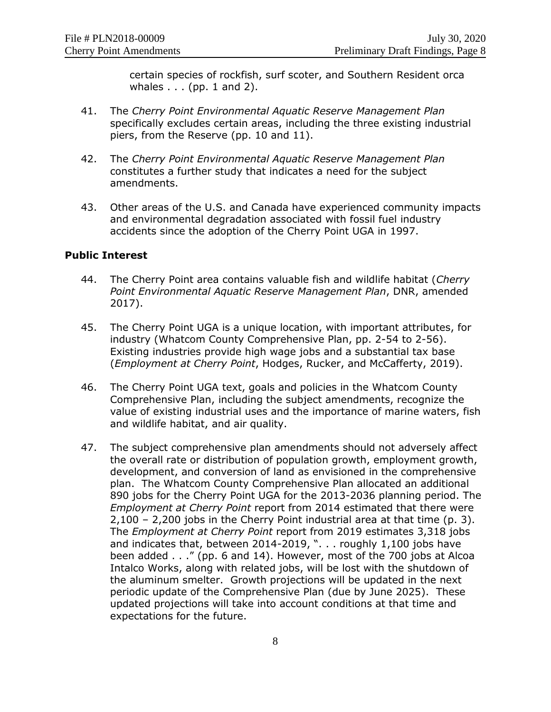certain species of rockfish, surf scoter, and Southern Resident orca whales . . . (pp. 1 and 2).

- 41. The *Cherry Point Environmental Aquatic Reserve Management Plan* specifically excludes certain areas, including the three existing industrial piers, from the Reserve (pp. 10 and 11).
- 42. The *Cherry Point Environmental Aquatic Reserve Management Plan* constitutes a further study that indicates a need for the subject amendments.
- 43. Other areas of the U.S. and Canada have experienced community impacts and environmental degradation associated with fossil fuel industry accidents since the adoption of the Cherry Point UGA in 1997.

#### **Public Interest**

- 44. The Cherry Point area contains valuable fish and wildlife habitat (*Cherry Point Environmental Aquatic Reserve Management Plan*, DNR, amended 2017).
- 45. The Cherry Point UGA is a unique location, with important attributes, for industry (Whatcom County Comprehensive Plan, pp. 2-54 to 2-56). Existing industries provide high wage jobs and a substantial tax base (*Employment at Cherry Point*, Hodges, Rucker, and McCafferty, 2019).
- 46. The Cherry Point UGA text, goals and policies in the Whatcom County Comprehensive Plan, including the subject amendments, recognize the value of existing industrial uses and the importance of marine waters, fish and wildlife habitat, and air quality.
- 47. The subject comprehensive plan amendments should not adversely affect the overall rate or distribution of population growth, employment growth, development, and conversion of land as envisioned in the comprehensive plan. The Whatcom County Comprehensive Plan allocated an additional 890 jobs for the Cherry Point UGA for the 2013-2036 planning period. The *Employment at Cherry Point* report from 2014 estimated that there were 2,100 – 2,200 jobs in the Cherry Point industrial area at that time (p. 3). The *Employment at Cherry Point* report from 2019 estimates 3,318 jobs and indicates that, between 2014-2019, ". . . roughly 1,100 jobs have been added . . ." (pp. 6 and 14). However, most of the 700 jobs at Alcoa Intalco Works, along with related jobs, will be lost with the shutdown of the aluminum smelter. Growth projections will be updated in the next periodic update of the Comprehensive Plan (due by June 2025). These updated projections will take into account conditions at that time and expectations for the future.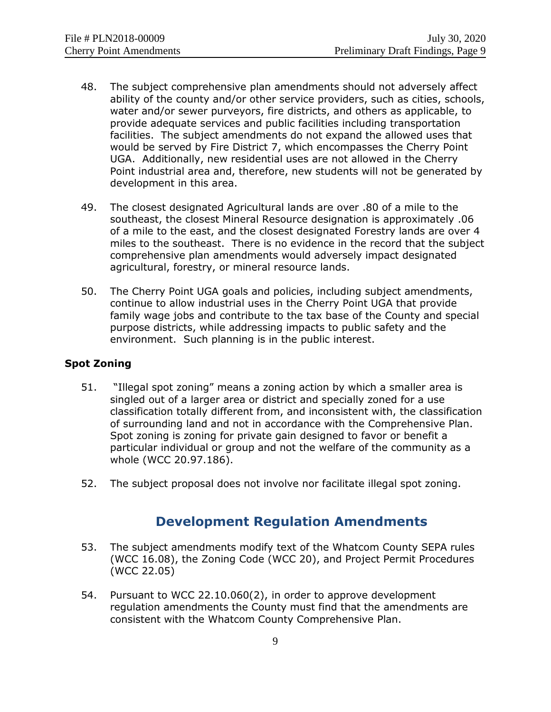- 48. The subject comprehensive plan amendments should not adversely affect ability of the county and/or other service providers, such as cities, schools, water and/or sewer purveyors, fire districts, and others as applicable, to provide adequate services and public facilities including transportation facilities. The subject amendments do not expand the allowed uses that would be served by Fire District 7, which encompasses the Cherry Point UGA. Additionally, new residential uses are not allowed in the Cherry Point industrial area and, therefore, new students will not be generated by development in this area.
- 49. The closest designated Agricultural lands are over .80 of a mile to the southeast, the closest Mineral Resource designation is approximately .06 of a mile to the east, and the closest designated Forestry lands are over 4 miles to the southeast. There is no evidence in the record that the subject comprehensive plan amendments would adversely impact designated agricultural, forestry, or mineral resource lands.
- 50. The Cherry Point UGA goals and policies, including subject amendments, continue to allow industrial uses in the Cherry Point UGA that provide family wage jobs and contribute to the tax base of the County and special purpose districts, while addressing impacts to public safety and the environment. Such planning is in the public interest.

# **Spot Zoning**

- 51. "Illegal spot zoning" means a zoning action by which a smaller area is singled out of a larger area or district and specially zoned for a use classification totally different from, and inconsistent with, the classification of surrounding land and not in accordance with the Comprehensive Plan. Spot zoning is zoning for private gain designed to favor or benefit a particular individual or group and not the welfare of the community as a whole (WCC 20.97.186).
- 52. The subject proposal does not involve nor facilitate illegal spot zoning.

# **Development Regulation Amendments**

- 53. The subject amendments modify text of the Whatcom County SEPA rules (WCC 16.08), the Zoning Code (WCC 20), and Project Permit Procedures (WCC 22.05)
- 54. Pursuant to WCC 22.10.060(2), in order to approve development regulation amendments the County must find that the amendments are consistent with the Whatcom County Comprehensive Plan.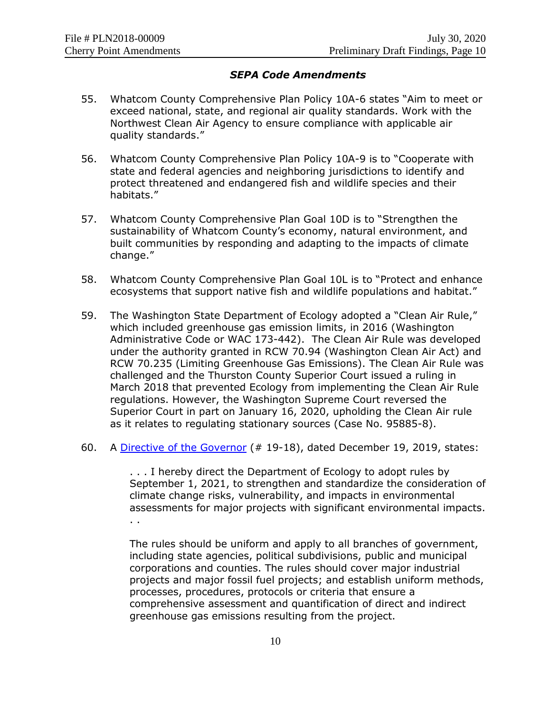#### *SEPA Code Amendments*

- 55. Whatcom County Comprehensive Plan Policy 10A-6 states "Aim to meet or exceed national, state, and regional air quality standards. Work with the Northwest Clean Air Agency to ensure compliance with applicable air quality standards."
- 56. Whatcom County Comprehensive Plan Policy 10A-9 is to "Cooperate with state and federal agencies and neighboring jurisdictions to identify and protect threatened and endangered fish and wildlife species and their habitats."
- 57. Whatcom County Comprehensive Plan Goal 10D is to "Strengthen the sustainability of Whatcom County's economy, natural environment, and built communities by responding and adapting to the impacts of climate change."
- 58. Whatcom County Comprehensive Plan Goal 10L is to "Protect and enhance ecosystems that support native fish and wildlife populations and habitat."
- 59. The Washington State Department of Ecology adopted a "Clean Air Rule," which included greenhouse gas emission limits, in 2016 (Washington Administrative Code or WAC 173-442). The Clean Air Rule was developed under the authority granted in RCW 70.94 (Washington Clean Air Act) and RCW 70.235 (Limiting Greenhouse Gas Emissions). The Clean Air Rule was challenged and the Thurston County Superior Court issued a ruling in March 2018 that prevented Ecology from implementing the Clean Air Rule regulations. However, the Washington Supreme Court reversed the Superior Court in part on January 16, 2020, upholding the Clean Air rule as it relates to regulating stationary sources (Case No. 95885-8).
- 60. A [Directive of the Governor](https://www.governor.wa.gov/sites/default/files/directive/19-18%20-%20ECY%20Climate%20Rules%20%28tmp%29.pdf) (# 19-18), dated December 19, 2019, states:

. . . I hereby direct the Department of Ecology to adopt rules by September 1, 2021, to strengthen and standardize the consideration of climate change risks, vulnerability, and impacts in environmental assessments for major projects with significant environmental impacts. . .

The rules should be uniform and apply to all branches of government, including state agencies, political subdivisions, public and municipal corporations and counties. The rules should cover major industrial projects and major fossil fuel projects; and establish uniform methods, processes, procedures, protocols or criteria that ensure a comprehensive assessment and quantification of direct and indirect greenhouse gas emissions resulting from the project.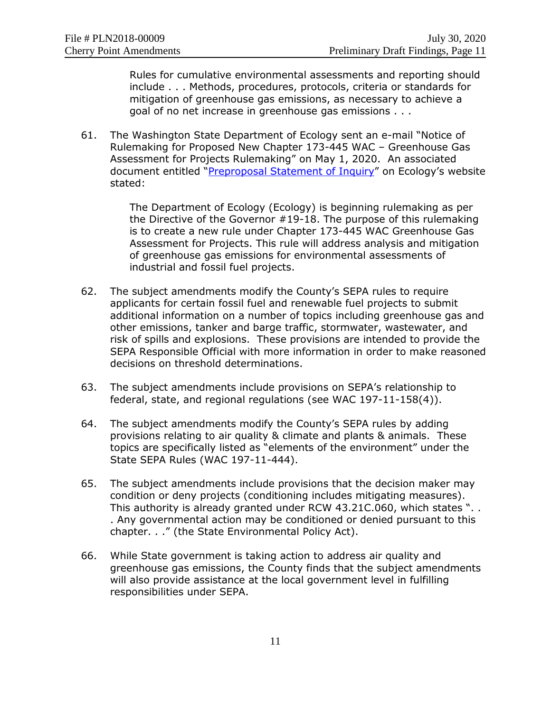Rules for cumulative environmental assessments and reporting should include . . . Methods, procedures, protocols, criteria or standards for mitigation of greenhouse gas emissions, as necessary to achieve a goal of no net increase in greenhouse gas emissions . . .

61. The Washington State Department of Ecology sent an e-mail "Notice of Rulemaking for Proposed New Chapter 173-445 WAC – Greenhouse Gas Assessment for Projects Rulemaking" on May 1, 2020. An associated document entitled "[Preproposal Statement of Inquiry](https://ecology.wa.gov/DOE/files/d1/d1ed2cac-ce23-4ad2-a6a5-dfdeb8839823.pdf)" on Ecology's website stated:

> The Department of Ecology (Ecology) is beginning rulemaking as per the Directive of the Governor #19-18. The purpose of this rulemaking is to create a new rule under Chapter 173-445 WAC Greenhouse Gas Assessment for Projects. This rule will address analysis and mitigation of greenhouse gas emissions for environmental assessments of industrial and fossil fuel projects.

- 62. The subject amendments modify the County's SEPA rules to require applicants for certain fossil fuel and renewable fuel projects to submit additional information on a number of topics including greenhouse gas and other emissions, tanker and barge traffic, stormwater, wastewater, and risk of spills and explosions. These provisions are intended to provide the SEPA Responsible Official with more information in order to make reasoned decisions on threshold determinations.
- 63. The subject amendments include provisions on SEPA's relationship to federal, state, and regional regulations (see WAC 197-11-158(4)).
- 64. The subject amendments modify the County's SEPA rules by adding provisions relating to air quality & climate and plants & animals. These topics are specifically listed as "elements of the environment" under the State SEPA Rules (WAC 197-11-444).
- 65. The subject amendments include provisions that the decision maker may condition or deny projects (conditioning includes mitigating measures). This authority is already granted under RCW 43.21C.060, which states ". . . Any governmental action may be conditioned or denied pursuant to this chapter. . ." (the State Environmental Policy Act).
- 66. While State government is taking action to address air quality and greenhouse gas emissions, the County finds that the subject amendments will also provide assistance at the local government level in fulfilling responsibilities under SEPA.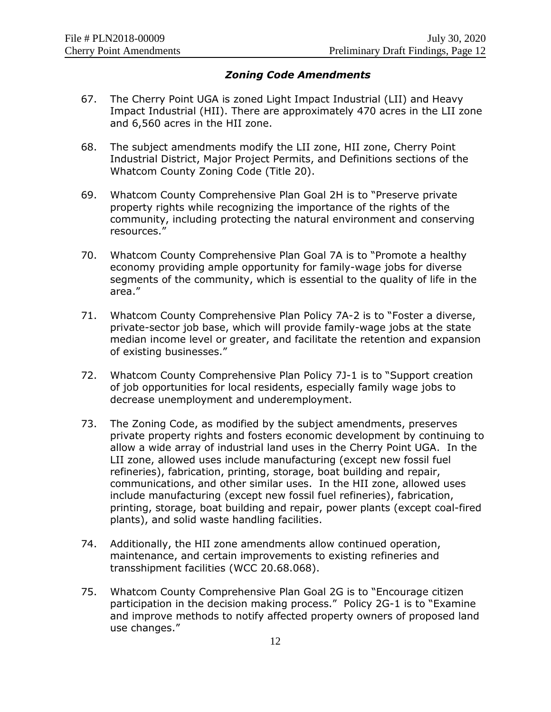### *Zoning Code Amendments*

- 67. The Cherry Point UGA is zoned Light Impact Industrial (LII) and Heavy Impact Industrial (HII). There are approximately 470 acres in the LII zone and 6,560 acres in the HII zone.
- 68. The subject amendments modify the LII zone, HII zone, Cherry Point Industrial District, Major Project Permits, and Definitions sections of the Whatcom County Zoning Code (Title 20).
- 69. Whatcom County Comprehensive Plan Goal 2H is to "Preserve private property rights while recognizing the importance of the rights of the community, including protecting the natural environment and conserving resources."
- 70. Whatcom County Comprehensive Plan Goal 7A is to "Promote a healthy economy providing ample opportunity for family-wage jobs for diverse segments of the community, which is essential to the quality of life in the area."
- 71. Whatcom County Comprehensive Plan Policy 7A-2 is to "Foster a diverse, private-sector job base, which will provide family-wage jobs at the state median income level or greater, and facilitate the retention and expansion of existing businesses."
- 72. Whatcom County Comprehensive Plan Policy 7J-1 is to "Support creation of job opportunities for local residents, especially family wage jobs to decrease unemployment and underemployment.
- 73. The Zoning Code, as modified by the subject amendments, preserves private property rights and fosters economic development by continuing to allow a wide array of industrial land uses in the Cherry Point UGA. In the LII zone, allowed uses include manufacturing (except new fossil fuel refineries), fabrication, printing, storage, boat building and repair, communications, and other similar uses. In the HII zone, allowed uses include manufacturing (except new fossil fuel refineries), fabrication, printing, storage, boat building and repair, power plants (except coal-fired plants), and solid waste handling facilities.
- 74. Additionally, the HII zone amendments allow continued operation, maintenance, and certain improvements to existing refineries and transshipment facilities (WCC 20.68.068).
- 75. Whatcom County Comprehensive Plan Goal 2G is to "Encourage citizen participation in the decision making process." Policy 2G-1 is to "Examine and improve methods to notify affected property owners of proposed land use changes."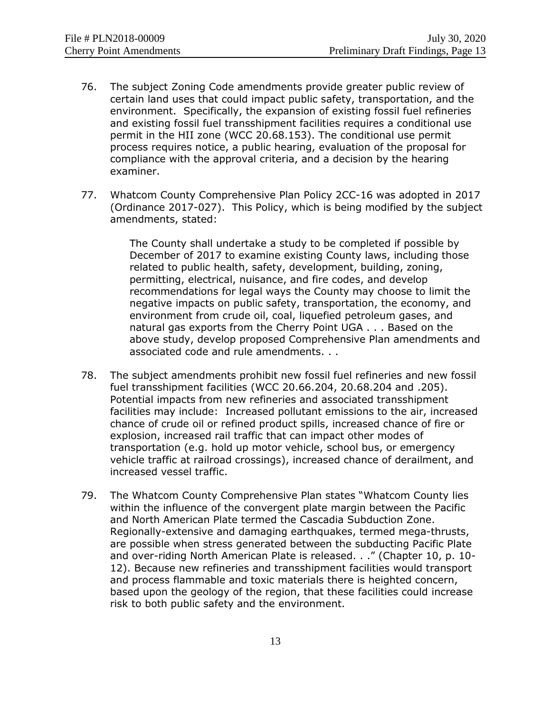- 76. The subject Zoning Code amendments provide greater public review of certain land uses that could impact public safety, transportation, and the environment. Specifically, the expansion of existing fossil fuel refineries and existing fossil fuel transshipment facilities requires a conditional use permit in the HII zone (WCC 20.68.153). The conditional use permit process requires notice, a public hearing, evaluation of the proposal for compliance with the approval criteria, and a decision by the hearing examiner.
- 77. Whatcom County Comprehensive Plan Policy 2CC-16 was adopted in 2017 (Ordinance 2017-027). This Policy, which is being modified by the subject amendments, stated:

The County shall undertake a study to be completed if possible by December of 2017 to examine existing County laws, including those related to public health, safety, development, building, zoning, permitting, electrical, nuisance, and fire codes, and develop recommendations for legal ways the County may choose to limit the negative impacts on public safety, transportation, the economy, and environment from crude oil, coal, liquefied petroleum gases, and natural gas exports from the Cherry Point UGA . . . Based on the above study, develop proposed Comprehensive Plan amendments and associated code and rule amendments. . .

- 78. The subject amendments prohibit new fossil fuel refineries and new fossil fuel transshipment facilities (WCC 20.66.204, 20.68.204 and .205). Potential impacts from new refineries and associated transshipment facilities may include: Increased pollutant emissions to the air, increased chance of crude oil or refined product spills, increased chance of fire or explosion, increased rail traffic that can impact other modes of transportation (e.g. hold up motor vehicle, school bus, or emergency vehicle traffic at railroad crossings), increased chance of derailment, and increased vessel traffic.
- 79. The Whatcom County Comprehensive Plan states "Whatcom County lies within the influence of the convergent plate margin between the Pacific and North American Plate termed the Cascadia Subduction Zone. Regionally-extensive and damaging earthquakes, termed mega-thrusts, are possible when stress generated between the subducting Pacific Plate and over-riding North American Plate is released. . ." (Chapter 10, p. 10- 12). Because new refineries and transshipment facilities would transport and process flammable and toxic materials there is heighted concern, based upon the geology of the region, that these facilities could increase risk to both public safety and the environment.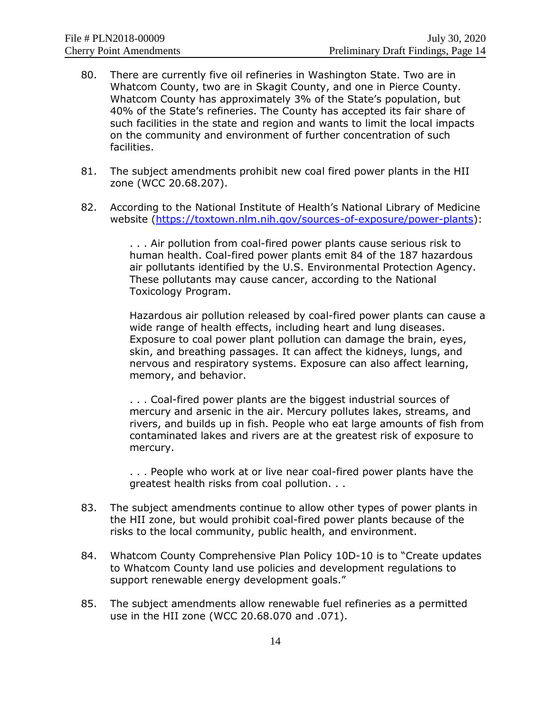- 80. There are currently five oil refineries in Washington State. Two are in Whatcom County, two are in Skagit County, and one in Pierce County. Whatcom County has approximately 3% of the State's population, but 40% of the State's refineries. The County has accepted its fair share of such facilities in the state and region and wants to limit the local impacts on the community and environment of further concentration of such facilities.
- 81. The subject amendments prohibit new coal fired power plants in the HII zone (WCC 20.68.207).
- 82. According to the National Institute of Health's National Library of Medicine website [\(https://toxtown.nlm.nih.gov/sources-of-exposure/power-plants\)](https://toxtown.nlm.nih.gov/sources-of-exposure/power-plants):

. . . Air pollution from coal-fired power plants cause serious risk to human health. Coal-fired power plants emit 84 of the 187 hazardous air pollutants identified by the U.S. Environmental Protection Agency. These pollutants may cause cancer, according to the National Toxicology Program.

Hazardous air pollution released by coal-fired power plants can cause a wide range of health effects, including heart and lung diseases. Exposure to coal power plant pollution can damage the brain, eyes, skin, and breathing passages. It can affect the kidneys, lungs, and nervous and respiratory systems. Exposure can also affect learning, memory, and behavior.

. . . Coal-fired power plants are the biggest industrial sources of [mercury](https://toxtown.nlm.nih.gov/chemicals-and-contaminants/mercury) and [arsenic](https://toxtown.nlm.nih.gov/chemicals-and-contaminants/arsenic) in the air. Mercury pollutes lakes, streams, and rivers, and builds up in fish. People who eat large amounts of fish from contaminated lakes and rivers are at the greatest risk of exposure to mercury.

. . . People who work at or live near coal-fired power plants have the greatest health risks from coal pollution. . .

- 83. The subject amendments continue to allow other types of power plants in the HII zone, but would prohibit coal-fired power plants because of the risks to the local community, public health, and environment.
- 84. Whatcom County Comprehensive Plan Policy 10D-10 is to "Create updates to Whatcom County land use policies and development regulations to support renewable energy development goals."
- 85. The subject amendments allow renewable fuel refineries as a permitted use in the HII zone (WCC 20.68.070 and .071).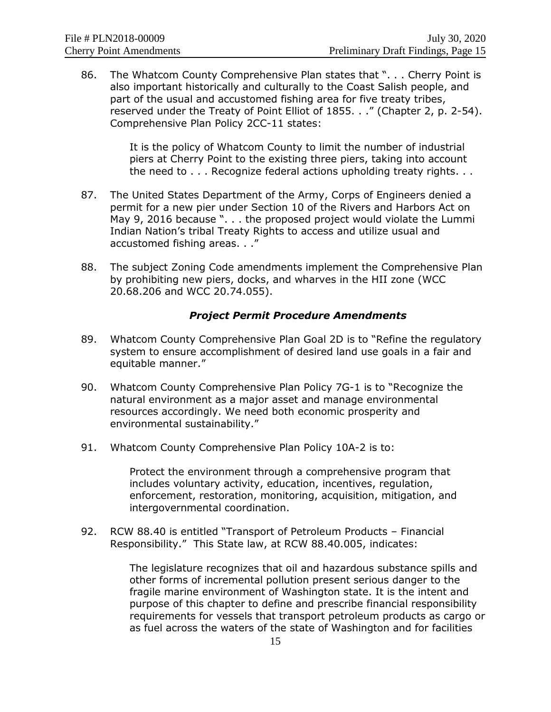86. The Whatcom County Comprehensive Plan states that ". . . Cherry Point is also important historically and culturally to the Coast Salish people, and part of the usual and accustomed fishing area for five treaty tribes, reserved under the Treaty of Point Elliot of 1855. . ." (Chapter 2, p. 2-54). Comprehensive Plan Policy 2CC-11 states:

> It is the policy of Whatcom County to limit the number of industrial piers at Cherry Point to the existing three piers, taking into account the need to . . . Recognize federal actions upholding treaty rights. . .

- 87. The United States Department of the Army, Corps of Engineers denied a permit for a new pier under Section 10 of the Rivers and Harbors Act on May 9, 2016 because ". . . the proposed project would violate the Lummi Indian Nation's tribal Treaty Rights to access and utilize usual and accustomed fishing areas. . ."
- 88. The subject Zoning Code amendments implement the Comprehensive Plan by prohibiting new piers, docks, and wharves in the HII zone (WCC 20.68.206 and WCC 20.74.055).

#### *Project Permit Procedure Amendments*

- 89. Whatcom County Comprehensive Plan Goal 2D is to "Refine the regulatory system to ensure accomplishment of desired land use goals in a fair and equitable manner."
- 90. Whatcom County Comprehensive Plan Policy 7G-1 is to "Recognize the natural environment as a major asset and manage environmental resources accordingly. We need both economic prosperity and environmental sustainability."
- 91. Whatcom County Comprehensive Plan Policy 10A-2 is to:

Protect the environment through a comprehensive program that includes voluntary activity, education, incentives, regulation, enforcement, restoration, monitoring, acquisition, mitigation, and intergovernmental coordination.

92. RCW 88.40 is entitled "Transport of Petroleum Products – Financial Responsibility." This State law, at RCW 88.40.005, indicates:

> The legislature recognizes that oil and hazardous substance spills and other forms of incremental pollution present serious danger to the fragile marine environment of Washington state. It is the intent and purpose of this chapter to define and prescribe financial responsibility requirements for vessels that transport petroleum products as cargo or as fuel across the waters of the state of Washington and for facilities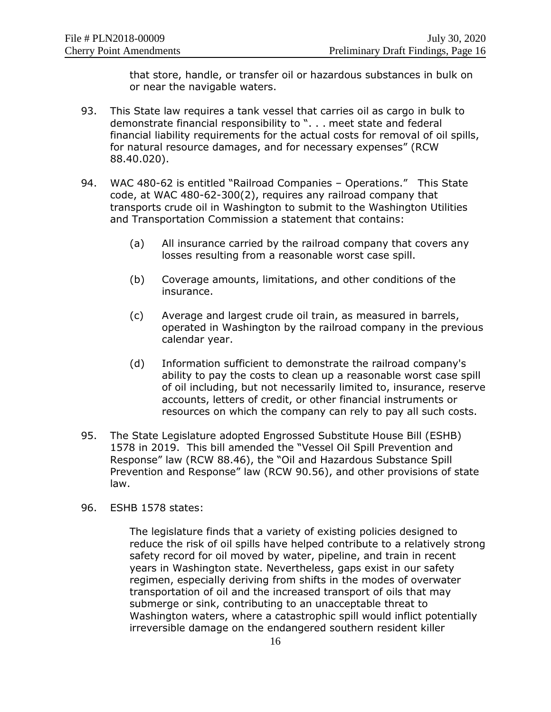that store, handle, or transfer oil or hazardous substances in bulk on or near the navigable waters.

- 93. This State law requires a tank vessel that carries oil as cargo in bulk to demonstrate financial responsibility to ". . . meet state and federal financial liability requirements for the actual costs for removal of oil spills, for natural resource damages, and for necessary expenses" (RCW 88.40.020).
- 94. WAC 480-62 is entitled "Railroad Companies Operations." This State code, at WAC 480-62-300(2), requires any railroad company that transports crude oil in Washington to submit to the Washington Utilities and Transportation Commission a statement that contains:
	- (a) All insurance carried by the railroad company that covers any losses resulting from a reasonable worst case spill.
	- (b) Coverage amounts, limitations, and other conditions of the insurance.
	- (c) Average and largest crude oil train, as measured in barrels, operated in Washington by the railroad company in the previous calendar year.
	- (d) Information sufficient to demonstrate the railroad company's ability to pay the costs to clean up a reasonable worst case spill of oil including, but not necessarily limited to, insurance, reserve accounts, letters of credit, or other financial instruments or resources on which the company can rely to pay all such costs.
- 95. The State Legislature adopted Engrossed Substitute House Bill (ESHB) 1578 in 2019. This bill amended the "Vessel Oil Spill Prevention and Response" law (RCW 88.46), the "Oil and Hazardous Substance Spill Prevention and Response" law (RCW 90.56), and other provisions of state law.
- 96. ESHB 1578 states:

The legislature finds that a variety of existing policies designed to reduce the risk of oil spills have helped contribute to a relatively strong safety record for oil moved by water, pipeline, and train in recent years in Washington state. Nevertheless, gaps exist in our safety regimen, especially deriving from shifts in the modes of overwater transportation of oil and the increased transport of oils that may submerge or sink, contributing to an unacceptable threat to Washington waters, where a catastrophic spill would inflict potentially irreversible damage on the endangered southern resident killer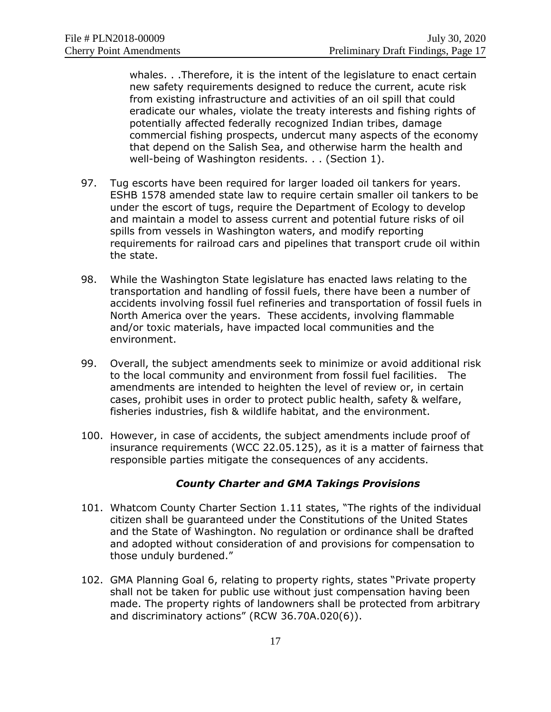whales. . .Therefore, it is the intent of the legislature to enact certain new safety requirements designed to reduce the current, acute risk from existing infrastructure and activities of an oil spill that could eradicate our whales, violate the treaty interests and fishing rights of potentially affected federally recognized Indian tribes, damage commercial fishing prospects, undercut many aspects of the economy that depend on the Salish Sea, and otherwise harm the health and well-being of Washington residents. . . (Section 1).

- 97. Tug escorts have been required for larger loaded oil tankers for years. ESHB 1578 amended state law to require certain smaller oil tankers to be under the escort of tugs, require the Department of Ecology to develop and maintain a model to assess current and potential future risks of oil spills from vessels in Washington waters, and modify reporting requirements for railroad cars and pipelines that transport crude oil within the state.
- 98. While the Washington State legislature has enacted laws relating to the transportation and handling of fossil fuels, there have been a number of accidents involving fossil fuel refineries and transportation of fossil fuels in North America over the years. These accidents, involving flammable and/or toxic materials, have impacted local communities and the environment.
- 99. Overall, the subject amendments seek to minimize or avoid additional risk to the local community and environment from fossil fuel facilities. The amendments are intended to heighten the level of review or, in certain cases, prohibit uses in order to protect public health, safety & welfare, fisheries industries, fish & wildlife habitat, and the environment.
- 100. However, in case of accidents, the subject amendments include proof of insurance requirements (WCC 22.05.125), as it is a matter of fairness that responsible parties mitigate the consequences of any accidents.

# *County Charter and GMA Takings Provisions*

- 101. Whatcom County Charter Section 1.11 states, "The rights of the individual citizen shall be guaranteed under the Constitutions of the United States and the State of Washington. No regulation or ordinance shall be drafted and adopted without consideration of and provisions for compensation to those unduly burdened."
- 102. GMA Planning Goal 6, relating to property rights, states "Private property shall not be taken for public use without just compensation having been made. The property rights of landowners shall be protected from arbitrary and discriminatory actions" (RCW 36.70A.020(6)).